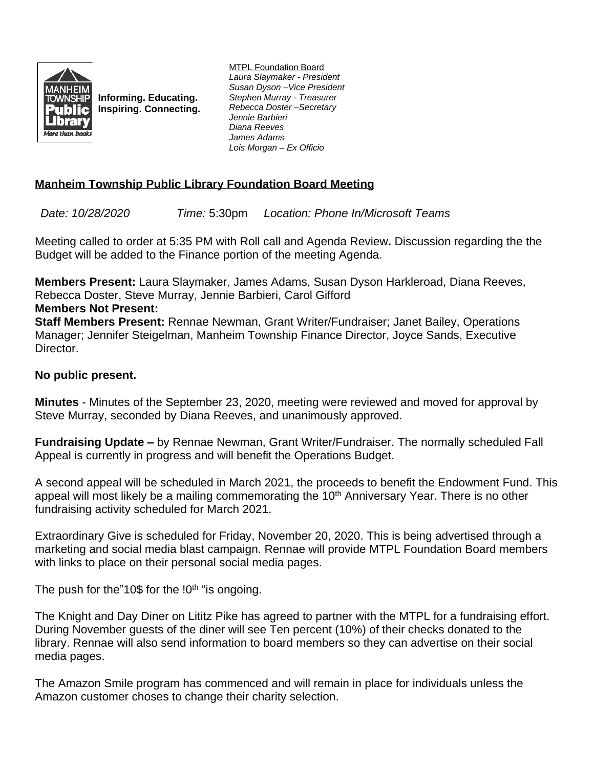

**Informing. Educating. Inspiring. Connecting.** MTPL Foundation Board *Laura Slaymaker - President Susan Dyson –Vice President Stephen Murray - Treasurer Rebecca Doster –Secretary Jennie Barbieri Diana Reeves James Adams Lois Morgan – Ex Officio*

## **Manheim Township Public Library Foundation Board Meeting**

*Date: 10/28/2020 Time:* 5:30pm *Location: Phone In/Microsoft Teams*

Meeting called to order at 5:35 PM with Roll call and Agenda Review**.** Discussion regarding the the Budget will be added to the Finance portion of the meeting Agenda.

**Members Present:** Laura Slaymaker, James Adams, Susan Dyson Harkleroad, Diana Reeves, Rebecca Doster, Steve Murray, Jennie Barbieri, Carol Gifford

## **Members Not Present:**

**Staff Members Present:** Rennae Newman, Grant Writer/Fundraiser; Janet Bailey, Operations Manager; Jennifer Steigelman, Manheim Township Finance Director, Joyce Sands, Executive Director.

## **No public present.**

**Minutes** - Minutes of the September 23, 2020, meeting were reviewed and moved for approval by Steve Murray, seconded by Diana Reeves, and unanimously approved.

**Fundraising Update –** by Rennae Newman, Grant Writer/Fundraiser. The normally scheduled Fall Appeal is currently in progress and will benefit the Operations Budget.

A second appeal will be scheduled in March 2021, the proceeds to benefit the Endowment Fund. This appeal will most likely be a mailing commemorating the 10<sup>th</sup> Anniversary Year. There is no other fundraising activity scheduled for March 2021.

Extraordinary Give is scheduled for Friday, November 20, 2020. This is being advertised through a marketing and social media blast campaign. Rennae will provide MTPL Foundation Board members with links to place on their personal social media pages.

The push for the"10\$ for the !0<sup>th</sup> "is ongoing.

The Knight and Day Diner on Lititz Pike has agreed to partner with the MTPL for a fundraising effort. During November guests of the diner will see Ten percent (10%) of their checks donated to the library. Rennae will also send information to board members so they can advertise on their social media pages.

The Amazon Smile program has commenced and will remain in place for individuals unless the Amazon customer choses to change their charity selection.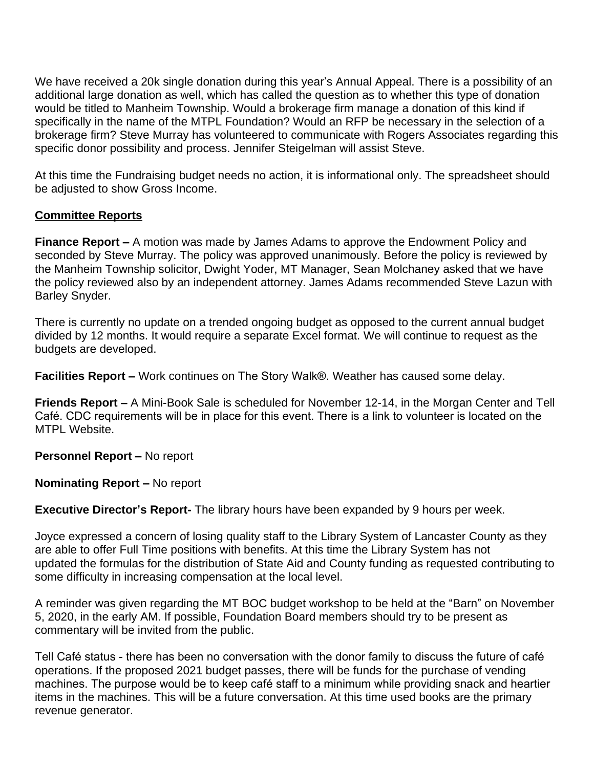We have received a 20k single donation during this year's Annual Appeal. There is a possibility of an additional large donation as well, which has called the question as to whether this type of donation would be titled to Manheim Township. Would a brokerage firm manage a donation of this kind if specifically in the name of the MTPL Foundation? Would an RFP be necessary in the selection of a brokerage firm? Steve Murray has volunteered to communicate with Rogers Associates regarding this specific donor possibility and process. Jennifer Steigelman will assist Steve.

At this time the Fundraising budget needs no action, it is informational only. The spreadsheet should be adjusted to show Gross Income.

## **Committee Reports**

**Finance Report –** A motion was made by James Adams to approve the Endowment Policy and seconded by Steve Murray. The policy was approved unanimously. Before the policy is reviewed by the Manheim Township solicitor, Dwight Yoder, MT Manager, Sean Molchaney asked that we have the policy reviewed also by an independent attorney. James Adams recommended Steve Lazun with Barley Snyder.

There is currently no update on a trended ongoing budget as opposed to the current annual budget divided by 12 months. It would require a separate Excel format. We will continue to request as the budgets are developed.

**Facilities Report –** Work continues on The Story Walk®. Weather has caused some delay.

**Friends Report –** A Mini-Book Sale is scheduled for November 12-14, in the Morgan Center and Tell Café. CDC requirements will be in place for this event. There is a link to volunteer is located on the MTPL Website.

**Personnel Report – No report** 

**Nominating Report –** No report

**Executive Director's Report-** The library hours have been expanded by 9 hours per week.

Joyce expressed a concern of losing quality staff to the Library System of Lancaster County as they are able to offer Full Time positions with benefits. At this time the Library System has not updated the formulas for the distribution of State Aid and County funding as requested contributing to some difficulty in increasing compensation at the local level.

A reminder was given regarding the MT BOC budget workshop to be held at the "Barn" on November 5, 2020, in the early AM. If possible, Foundation Board members should try to be present as commentary will be invited from the public.

Tell Café status - there has been no conversation with the donor family to discuss the future of café operations. If the proposed 2021 budget passes, there will be funds for the purchase of vending machines. The purpose would be to keep café staff to a minimum while providing snack and heartier items in the machines. This will be a future conversation. At this time used books are the primary revenue generator.